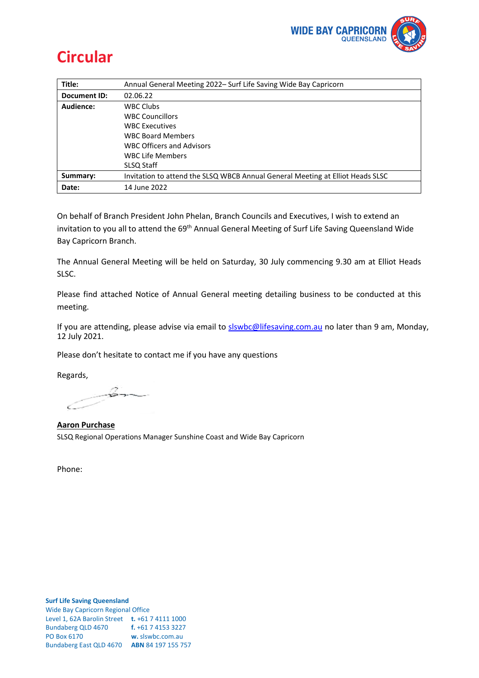

# **Circular**

| Title:       | Annual General Meeting 2022– Surf Life Saving Wide Bay Capricorn               |
|--------------|--------------------------------------------------------------------------------|
| Document ID: | 02.06.22                                                                       |
| Audience:    | <b>WBC Clubs</b>                                                               |
|              | <b>WBC Councillors</b>                                                         |
|              | <b>WBC Executives</b>                                                          |
|              | <b>WBC Board Members</b>                                                       |
|              | <b>WBC Officers and Advisors</b>                                               |
|              | <b>WBC Life Members</b>                                                        |
|              | SLSQ Staff                                                                     |
| Summary:     | Invitation to attend the SLSQ WBCB Annual General Meeting at Elliot Heads SLSC |
| Date:        | 14 June 2022                                                                   |

On behalf of Branch President John Phelan, Branch Councils and Executives, I wish to extend an invitation to you all to attend the 69<sup>th</sup> Annual General Meeting of Surf Life Saving Queensland Wide Bay Capricorn Branch.

The Annual General Meeting will be held on Saturday, 30 July commencing 9.30 am at Elliot Heads SLSC.

Please find attached Notice of Annual General meeting detailing business to be conducted at this meeting.

If you are attending, please advise via email t[o slswbc@lifesaving.com.au](mailto:slswbc@lifesaving.com.au) no later than 9 am, Monday, 12 July 2021.

Please don't hesitate to contact me if you have any questions

Regards,

-6---

**Aaron Purchase** SLSQ Regional Operations Manager Sunshine Coast and Wide Bay Capricorn

Phone: